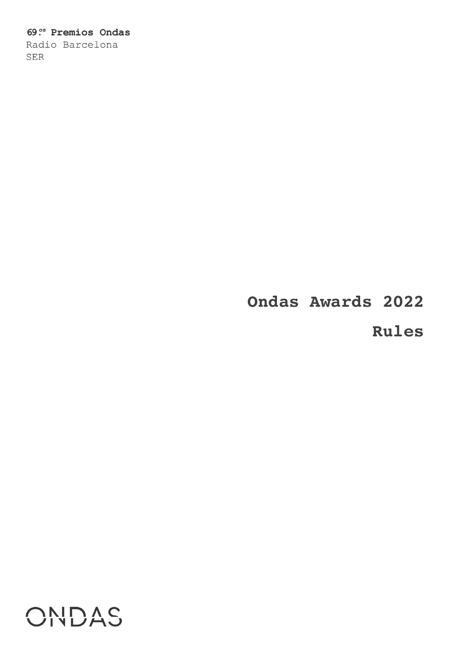## 69<sup>os</sup> Premios Ondas

Radio Barcelona SER

# **Ondas Awards 2022**

## **Rules**

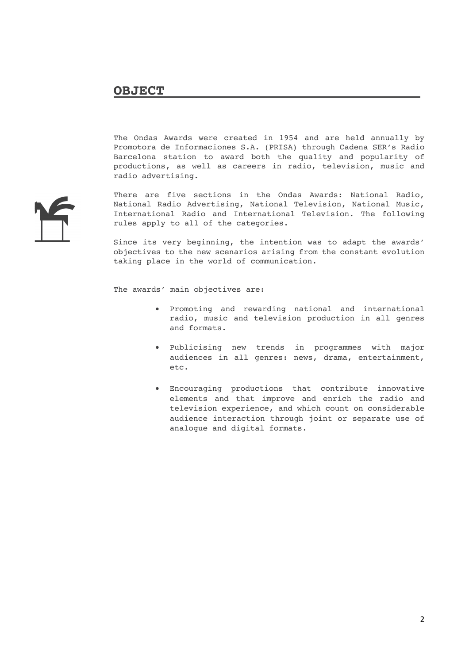The Ondas Awards were created in 1954 and are held annually by Promotora de Informaciones S.A. (PRISA) through Cadena SER's Radio Barcelona station to award both the quality and popularity of productions, as well as careers in radio, television, music and radio advertising.

There are five sections in the Ondas Awards: National Radio, National Radio Advertising, National Television, National Music, International Radio and International Television. The following rules apply to all of the categories.

Since its very beginning, the intention was to adapt the awards' objectives to the new scenarios arising from the constant evolution taking place in the world of communication.

The awards' main objectives are:

- Promoting and rewarding national and international radio, music and television production in all genres and formats.
- Publicising new trends in programmes with major audiences in all genres: news, drama, entertainment, etc.
- Encouraging productions that contribute innovative elements and that improve and enrich the radio and television experience, and which count on considerable audience interaction through joint or separate use of analogue and digital formats.

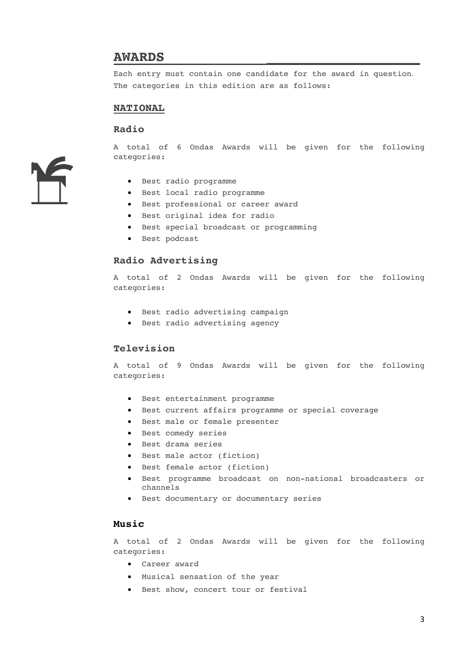#### **AWARDS \_\_\_\_\_\_\_\_\_\_\_\_\_\_\_\_\_\_**

Each entry must contain one candidate for the award in question. The categories in this edition are as follows:

#### **NATIONAL**

#### **Radio**

A total of 6 Ondas Awards will be given for the following categories:

- Best radio programme
- Best local radio programme
- Best professional or career award
- Best original idea for radio
- Best special broadcast or programming
- Best podcast

#### **Radio Advertising**

A total of 2 Ondas Awards will be given for the following categories:

- Best radio advertising campaign
- Best radio advertising agency

#### **Television**

A total of 9 Ondas Awards will be given for the following categories:

- Best entertainment programme
- Best current affairs programme or special coverage
- Best male or female presenter
- Best comedy series
- Best drama series
- Best male actor (fiction)
- Best female actor (fiction)
- Best programme broadcast on non-national broadcasters or channels
- Best documentary or documentary series

#### **Music**

A total of 2 Ondas Awards will be given for the following categories:

- Career award
- Musical sensation of the year
- Best show, concert tour or festival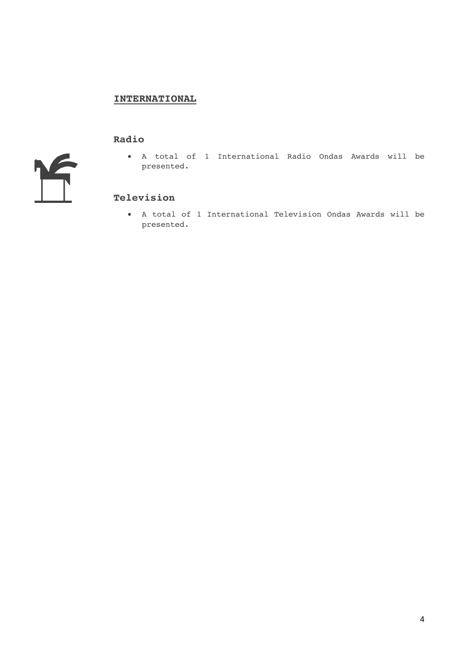#### **INTERNATIONAL**

#### **Radio**

 $\sqrt{2}$ 

• A total of 1 International Radio Ondas Awards will be presented.

#### **Television**

• A total of 1 International Television Ondas Awards will be presented.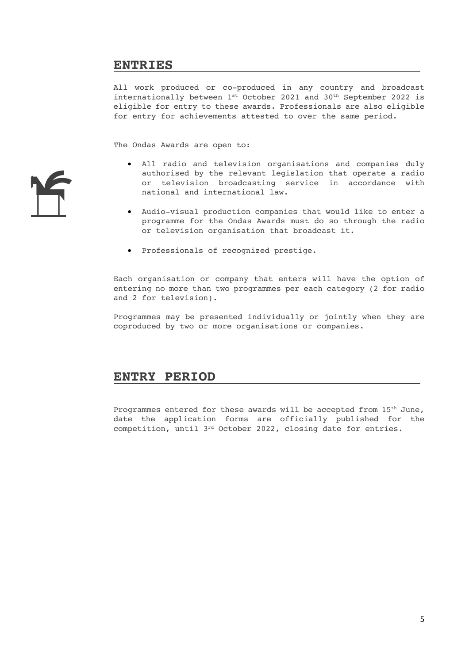## **ENTRIES**

All work produced or co-produced in any country and broadcast internationally between  $1^{st}$  October 2021 and 30<sup>th</sup> September 2022 is eligible for entry to these awards. Professionals are also eligible for entry for achievements attested to over the same period.

The Ondas Awards are open to:

- All radio and television organisations and companies duly authorised by the relevant legislation that operate a radio or television broadcasting service in accordance with national and international law.
- Audio-visual production companies that would like to enter a programme for the Ondas Awards must do so through the radio or television organisation that broadcast it.
- Professionals of recognized prestige.

Each organisation or company that enters will have the option of entering no more than two programmes per each category (2 for radio and 2 for television).

Programmes may be presented individually or jointly when they are coproduced by two or more organisations or companies.

#### **ENTRY PERIOD**

Programmes entered for these awards will be accepted from 15th June, date the application forms are officially published for the competition, until 3rd October 2022, closing date for entries.

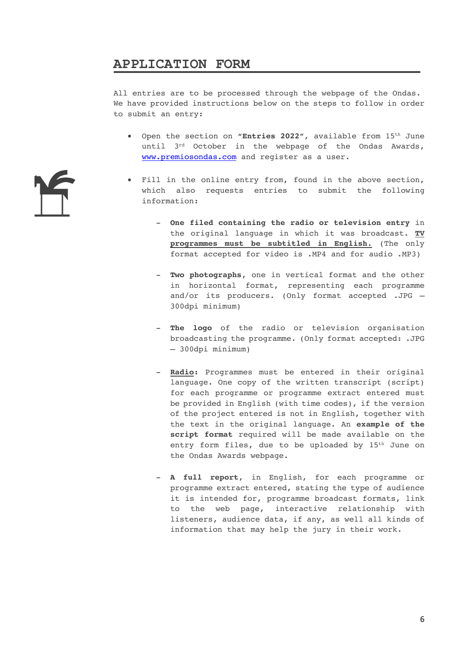## **APPLICATION FORM**

All entries are to be processed through the webpage of the Ondas. We have provided instructions below on the steps to follow in order to submit an entry:

- Open the section on **"Entries 2022"**, available from 15th June until 3<sup>rd</sup> October in the webpage of the Ondas Awards, www.premiosondas.com and register as a user.
- Fill in the online entry from, found in the above section, which also requests entries to submit the following information:
	- **One filed containing the radio or television entry** in the original language in which it was broadcast. **TV programmes must be subtitled in English.** (The only format accepted for video is .MP4 and for audio .MP3)
	- **Two photographs**, one in vertical format and the other in horizontal format, representing each programme and/or its producers. (Only format accepted .JPG – 300dpi minimum)
	- **The logo** of the radio or television organisation broadcasting the programme. (Only format accepted: .JPG – 300dpi minimum)
	- **Radio:** Programmes must be entered in their original language. One copy of the written transcript (script) for each programme or programme extract entered must be provided in English (with time codes), if the version of the project entered is not in English, together with the text in the original language. An **example of the script format** required will be made available on the entry form files, due to be uploaded by 15<sup>th</sup> June on the Ondas Awards webpage.
	- **A full report**, in English, for each programme or programme extract entered, stating the type of audience it is intended for, programme broadcast formats, link to the web page, interactive relationship with listeners, audience data, if any, as well all kinds of information that may help the jury in their work.

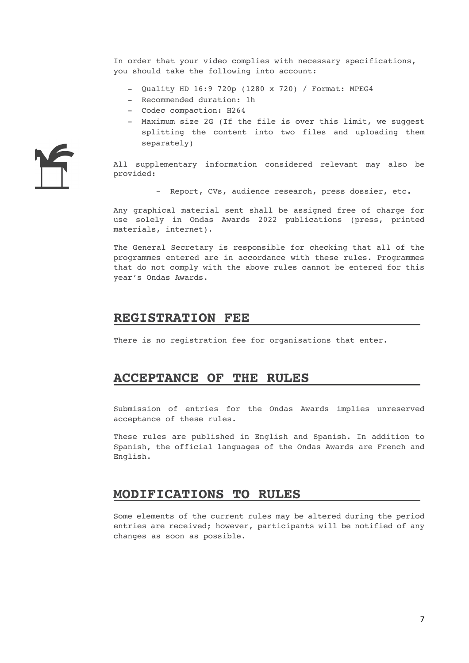In order that your video complies with necessary specifications, you should take the following into account:

- Quality HD 16:9 720p (1280 x 720) / Format: MPEG4
- Recommended duration: 1h
- Codec compaction: H264
- Maximum size 2G (If the file is over this limit, we suggest splitting the content into two files and uploading them separately)

All supplementary information considered relevant may also be provided:

- Report, CVs, audience research, press dossier, etc.

Any graphical material sent shall be assigned free of charge for use solely in Ondas Awards 2022 publications (press, printed materials, internet).

The General Secretary is responsible for checking that all of the programmes entered are in accordance with these rules. Programmes that do not comply with the above rules cannot be entered for this year's Ondas Awards.

#### **REGISTRATION FEE**

There is no registration fee for organisations that enter.

#### **ACCEPTANCE OF THE RULES**

Submission of entries for the Ondas Awards implies unreserved acceptance of these rules.

These rules are published in English and Spanish. In addition to Spanish, the official languages of the Ondas Awards are French and English.

#### **MODIFICATIONS TO RULES**

Some elements of the current rules may be altered during the period entries are received; however, participants will be notified of any changes as soon as possible.

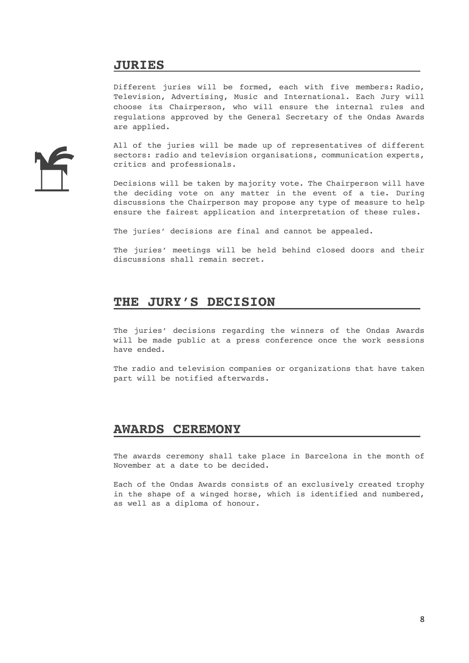## **JURIES**

Different juries will be formed, each with five members: Radio, Television, Advertising, Music and International. Each Jury will choose its Chairperson, who will ensure the internal rules and regulations approved by the General Secretary of the Ondas Awards are applied.

All of the juries will be made up of representatives of different sectors: radio and television organisations, communication experts, critics and professionals.

Decisions will be taken by majority vote. The Chairperson will have the deciding vote on any matter in the event of a tie. During discussions the Chairperson may propose any type of measure to help ensure the fairest application and interpretation of these rules.

The juries' decisions are final and cannot be appealed.

The juries' meetings will be held behind closed doors and their discussions shall remain secret.

## **THE JURY'S DECISION**

The juries' decisions regarding the winners of the Ondas Awards will be made public at a press conference once the work sessions have ended.

The radio and television companies or organizations that have taken part will be notified afterwards.

#### **AWARDS CEREMONY**

The awards ceremony shall take place in Barcelona in the month of November at a date to be decided.

Each of the Ondas Awards consists of an exclusively created trophy in the shape of a winged horse, which is identified and numbered, as well as a diploma of honour.

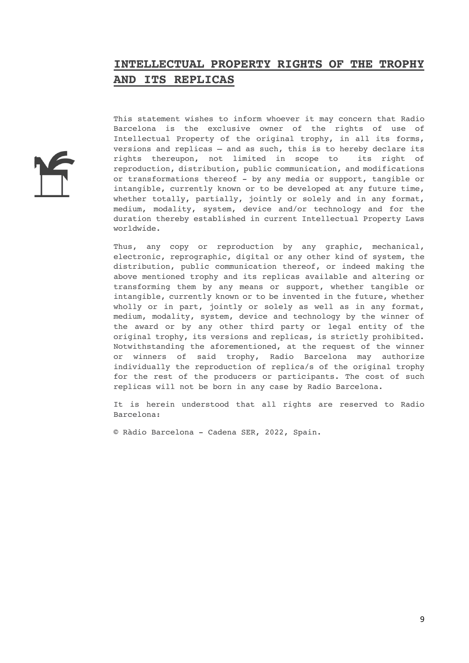## **INTELLECTUAL PROPERTY RIGHTS OF THE TROPHY AND ITS REPLICAS**

This statement wishes to inform whoever it may concern that Radio Barcelona is the exclusive owner of the rights of use of Intellectual Property of the original trophy, in all its forms, versions and replicas – and as such, this is to hereby declare its rights thereupon, not limited in scope to its right of reproduction, distribution, public communication, and modifications or transformations thereof - by any media or support, tangible or intangible, currently known or to be developed at any future time, whether totally, partially, jointly or solely and in any format, medium, modality, system, device and/or technology and for the duration thereby established in current Intellectual Property Laws worldwide.

Thus, any copy or reproduction by any graphic, mechanical, electronic, reprographic, digital or any other kind of system, the distribution, public communication thereof, or indeed making the above mentioned trophy and its replicas available and altering or transforming them by any means or support, whether tangible or intangible, currently known or to be invented in the future, whether wholly or in part, jointly or solely as well as in any format, medium, modality, system, device and technology by the winner of the award or by any other third party or legal entity of the original trophy, its versions and replicas, is strictly prohibited. Notwithstanding the aforementioned, at the request of the winner or winners of said trophy, Radio Barcelona may authorize individually the reproduction of replica/s of the original trophy for the rest of the producers or participants. The cost of such replicas will not be born in any case by Radio Barcelona.

It is herein understood that all rights are reserved to Radio Barcelona:

© Ràdio Barcelona - Cadena SER, 2022, Spain.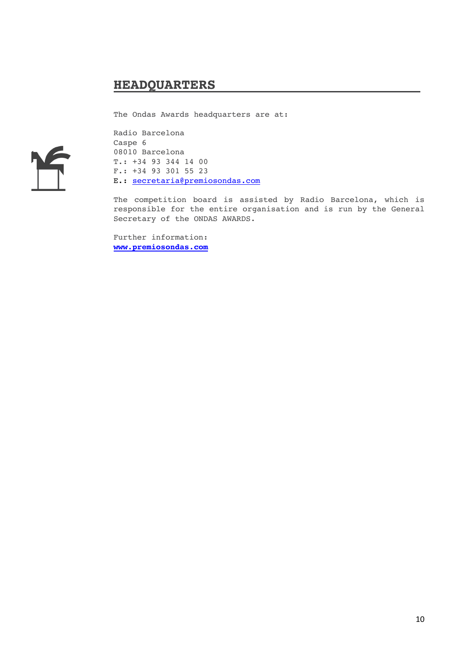## **HEADQUARTERS**

The Ondas Awards headquarters are at:



Radio Barcelona Caspe 6 08010 Barcelona T.: +34 93 344 14 00 F.: +34 93 301 55 23 E.: secretaria@premiosondas.com

The competition board is assisted by Radio Barcelona, which is responsible for the entire organisation and is run by the General Secretary of the ONDAS AWARDS.

Further information: **www.premiosondas.com**